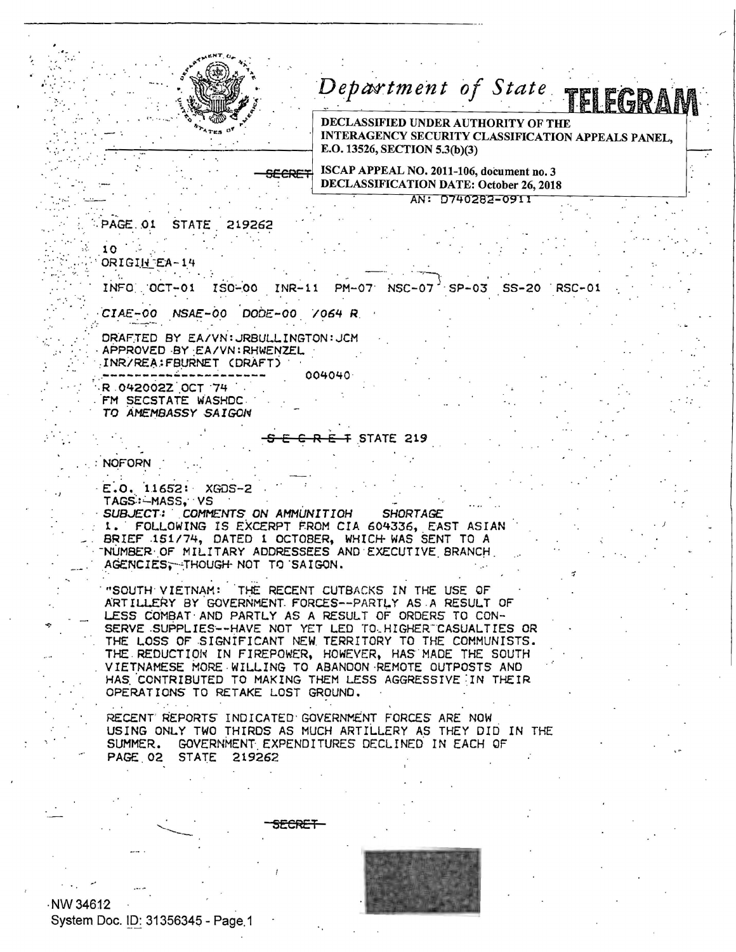

SECRE

## Department of State TELEGRAN

DECLASSIFIED UNDER AUTHORITY OF THE INTERAGENCY SECURITY CLASSIFICATION APPEALS PANEL, E.O. 13526, SECTION 5.3(b)(3)

ISCAP APPEAL NO. 2011-106, document no. 3 DECLASSIFICATION DATE: October 26, 2018

AN: D740282-0911

**PAGE.01** STATE 219262

 $10<sub>o</sub>$ ORIGIN EA-14

> INFO OCT-01 ISO-00 INR-11 **NSC-07** PM-07  $SP-03$   $SS-20$ **RSC-01**

CIAE-00 NSAE-00 DODE-00 /064 R

DRAFTED BY EA/VN: JRBULLINGTON: JCM APPROVED BY EA/VN: RHWENZEL INR/REA: FBURNET (DRAFT) 004040 R 042002Z OCT 74

FM SECSTATE WASHDC TO AMEMBASSY SAIGON

**F STATE 219** 

**NOFORN** 

E.O. 11652: XGDS-2 TAGS: - MASS, VS

SUBJECT: COMMENTS ON AMMUNITION **SHORTAGE** 1. FOLLOWING IS EXCERPT FROM CIA 604336, EAST ASIAN<br>BRIEF 151/74, DATED 1 OCTOBER, WHICH WAS SENT TO A<br>NUMBER OF MILITARY ADDRESSEES AND EXECUTIVE BRANCH AGENCIES, THOUGH NOT TO SAIGON.

"SOUTH VIETNAM: THE RECENT CUTBACKS IN THE USE OF ARTILLERY BY GOVERNMENT FORCES--PARTLY AS A RESULT OF LESS COMBAT AND PARTLY AS A RESULT OF ORDERS TO CON-SERVE SUPPLIES--HAVE NOT YET LED TO HIGHER CASUALTIES OR THE LOSS OF SIGNIFICANT NEW TERRITORY TO THE COMMUNISTS. THE REDUCTION IN FIREPOWER, HOWEVER, HAS MADE THE SOUTH VIETNAMESE MORE WILLING TO ABANDON REMOTE OUTPOSTS AND HAS CONTRIBUTED TO MAKING THEM LESS AGGRESSIVE IN THEIR OPERATIONS TO RETAKE LOST GROUND.

RECENT REPORTS INDICATED GOVERNMENT FORCES ARE NOW USING ONLY TWO THIRDS AS MUCH ARTILLERY AS THEY DID IN THE SUMMER. GOVERNMENT EXPENDITURES DECLINED IN EACH OF PAGE 02 STATE 219262

<del>ECRET</del>

NW 34612 System Doc. ID: 31356345 - Page 1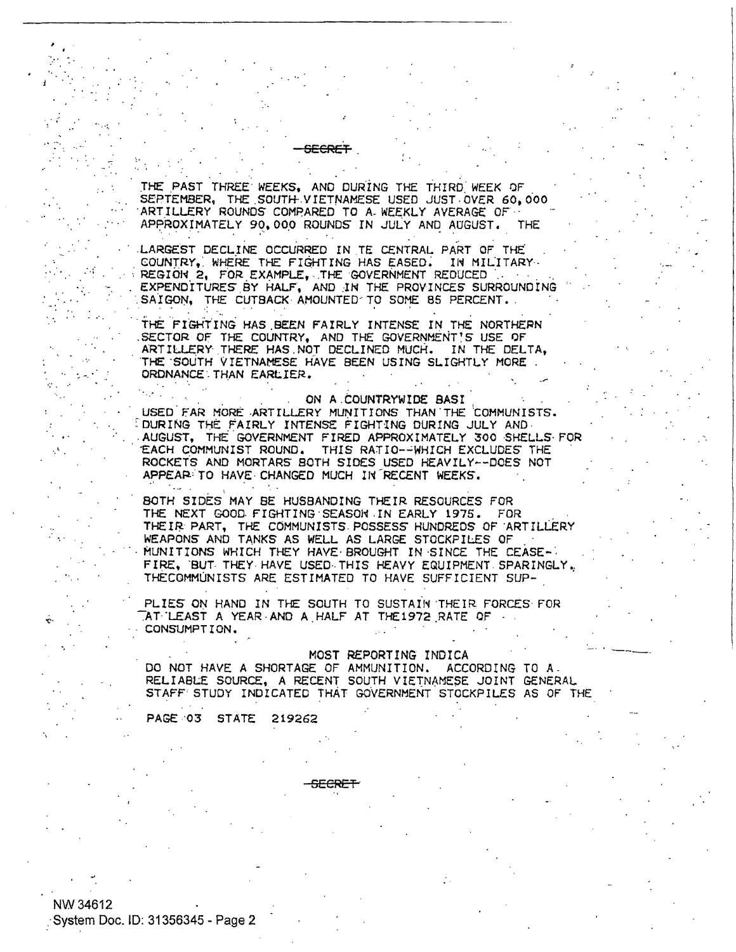THE PAST THREE WEEKS, AND DURING THE THIRD WEEK OF SEPTEMBER, THE SOUTH VIETNAMESE USED JUST OVER 60,000 ARTILLERY ROUNDS COMPARED TO A WEEKLY AVERAGE OF ... APPROXIMATELY 90,000 ROUNDS IN JULY AND AUGUST. THE

LARGEST DECLINE OCCURRED IN TE CENTRAL PART OF THE COUNTRY, WHERE THE FIGHTING HAS EASED. IN MILITARY REGION 2, FOR EXAMPLE, THE GOVERNMENT REDUCED EXPENDITURES BY HALF, AND IN THE PROVINCES SURROUNDING SAIGON, THE CUTBACK AMOUNTED TO SOME 85 PERCENT.

THE FIGHTING HAS BEEN FAIRLY INTENSE IN THE NORTHERN SECTOR OF THE COUNTRY, AND THE GOVERNMENT'S USE OF ARTILLERY THERE HAS NOT DECLINED MUCH. IN THE DELTA, THE SOUTH VIETNAMESE HAVE BEEN USING SLIGHTLY MORE ORDNANCE THAN EARLIER.

## ON A COUNTRYWIDE BASI

USED FAR MORE ARTILLERY MUNITIONS THAN THE COMMUNISTS. DURING THE FAIRLY INTENSE FIGHTING DURING JULY AND AUGUST, THE GOVERNMENT FIRED APPROXIMATELY 300 SHELLS FOR EACH COMMUNIST ROUND. THIS RATIO--WHICH EXCLUDES THE ROCKETS AND MORTARS BOTH SIDES USED HEAVILY--DOES NOT APPEAR TO HAVE CHANGED MUCH IN RECENT WEEKS.

BOTH SIDES MAY BE HUSBANDING THEIR RESOURCES FOR THE NEXT GOOD FIGHTING SEASON IN EARLY 1975. FOR THEIR PART, THE COMMUNISTS POSSESS HUNDREDS OF ARTILLERY<br>WEAPONS AND TANKS AS WELL AS LARGE STOCKPILES OF MUNITIONS WHICH THEY HAVE BROUGHT IN SINCE THE CEASE-FIRE, BUT THEY HAVE USED THIS HEAVY EQUIPMENT SPARINGLY, THECOMMUNISTS ARE ESTIMATED TO HAVE SUFFICIENT SUP-

PLIES ON HAND IN THE SOUTH TO SUSTAIN THEIR FORCES FOR AT LEAST A YEAR AND A HALF AT THE1972 RATE OF CONSUMPTION.

## MOST REPORTING INDICA

DO NOT HAVE A SHORTAGE OF AMMUNITION. ACCORDING TO A. RELIABLE SOURCE, A RECENT SOUTH VIETNAMESE JOINT GENERAL STAFF STUDY INDICATED THAT GOVERNMENT STOCKPILES AS OF THE

PAGE 03 STATE 219262